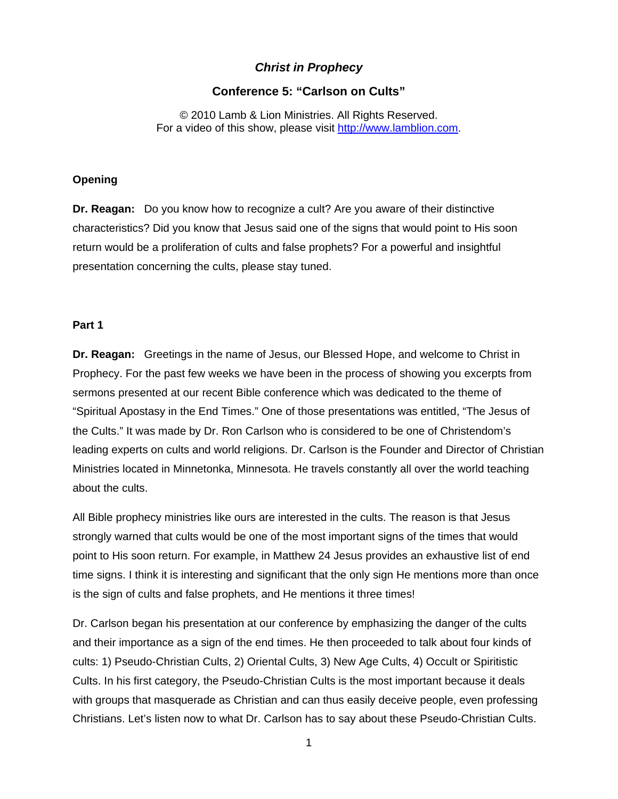# *Christ in Prophecy*

## **Conference 5: "Carlson on Cults"**

© 2010 Lamb & Lion Ministries. All Rights Reserved. For a video of this show, please visit [http://www.lamblion.com.](http://www.lamblion.com/)

## **Opening**

**Dr. Reagan:** Do you know how to recognize a cult? Are you aware of their distinctive characteristics? Did you know that Jesus said one of the signs that would point to His soon return would be a proliferation of cults and false prophets? For a powerful and insightful presentation concerning the cults, please stay tuned.

#### **Part 1**

**Dr. Reagan:** Greetings in the name of Jesus, our Blessed Hope, and welcome to Christ in Prophecy. For the past few weeks we have been in the process of showing you excerpts from sermons presented at our recent Bible conference which was dedicated to the theme of "Spiritual Apostasy in the End Times." One of those presentations was entitled, "The Jesus of the Cults." It was made by Dr. Ron Carlson who is considered to be one of Christendom's leading experts on cults and world religions. Dr. Carlson is the Founder and Director of Christian Ministries located in Minnetonka, Minnesota. He travels constantly all over the world teaching about the cults.

All Bible prophecy ministries like ours are interested in the cults. The reason is that Jesus strongly warned that cults would be one of the most important signs of the times that would point to His soon return. For example, in Matthew 24 Jesus provides an exhaustive list of end time signs. I think it is interesting and significant that the only sign He mentions more than once is the sign of cults and false prophets, and He mentions it three times!

Dr. Carlson began his presentation at our conference by emphasizing the danger of the cults and their importance as a sign of the end times. He then proceeded to talk about four kinds of cults: 1) Pseudo-Christian Cults, 2) Oriental Cults, 3) New Age Cults, 4) Occult or Spiritistic Cults. In his first category, the Pseudo-Christian Cults is the most important because it deals with groups that masquerade as Christian and can thus easily deceive people, even professing Christians. Let's listen now to what Dr. Carlson has to say about these Pseudo-Christian Cults.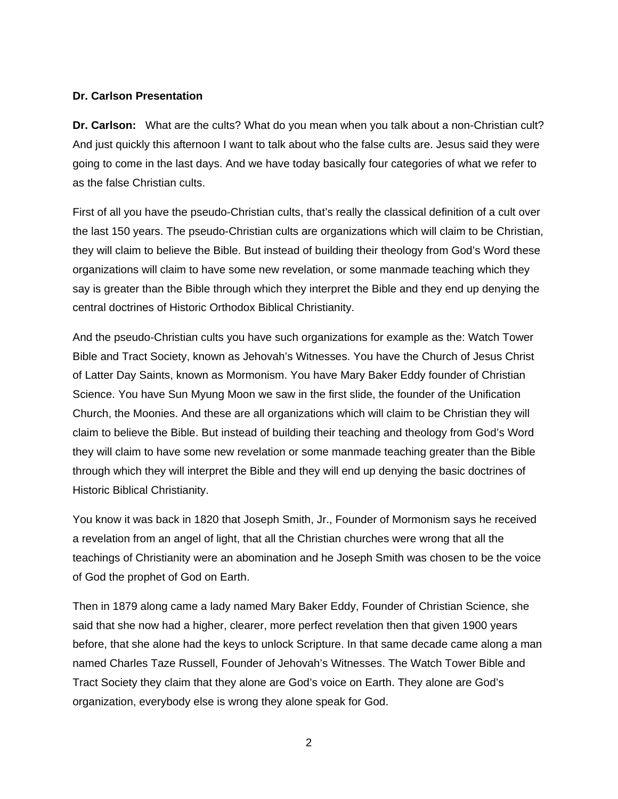## **Dr. Carlson Presentation**

**Dr. Carlson:** What are the cults? What do you mean when you talk about a non-Christian cult? And just quickly this afternoon I want to talk about who the false cults are. Jesus said they were going to come in the last days. And we have today basically four categories of what we refer to as the false Christian cults.

First of all you have the pseudo-Christian cults, that's really the classical definition of a cult over the last 150 years. The pseudo-Christian cults are organizations which will claim to be Christian, they will claim to believe the Bible. But instead of building their theology from God's Word these organizations will claim to have some new revelation, or some manmade teaching which they say is greater than the Bible through which they interpret the Bible and they end up denying the central doctrines of Historic Orthodox Biblical Christianity.

And the pseudo-Christian cults you have such organizations for example as the: Watch Tower Bible and Tract Society, known as Jehovah's Witnesses. You have the Church of Jesus Christ of Latter Day Saints, known as Mormonism. You have Mary Baker Eddy founder of Christian Science. You have Sun Myung Moon we saw in the first slide, the founder of the Unification Church, the Moonies. And these are all organizations which will claim to be Christian they will claim to believe the Bible. But instead of building their teaching and theology from God's Word they will claim to have some new revelation or some manmade teaching greater than the Bible through which they will interpret the Bible and they will end up denying the basic doctrines of Historic Biblical Christianity.

You know it was back in 1820 that Joseph Smith, Jr., Founder of Mormonism says he received a revelation from an angel of light, that all the Christian churches were wrong that all the teachings of Christianity were an abomination and he Joseph Smith was chosen to be the voice of God the prophet of God on Earth.

Then in 1879 along came a lady named Mary Baker Eddy, Founder of Christian Science, she said that she now had a higher, clearer, more perfect revelation then that given 1900 years before, that she alone had the keys to unlock Scripture. In that same decade came along a man named Charles Taze Russell, Founder of Jehovah's Witnesses. The Watch Tower Bible and Tract Society they claim that they alone are God's voice on Earth. They alone are God's organization, everybody else is wrong they alone speak for God.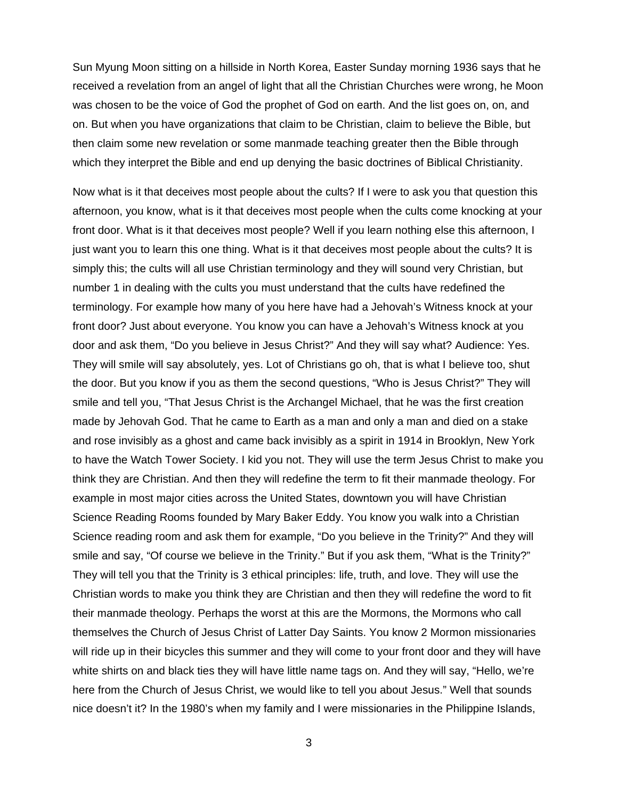Sun Myung Moon sitting on a hillside in North Korea, Easter Sunday morning 1936 says that he received a revelation from an angel of light that all the Christian Churches were wrong, he Moon was chosen to be the voice of God the prophet of God on earth. And the list goes on, on, and on. But when you have organizations that claim to be Christian, claim to believe the Bible, but then claim some new revelation or some manmade teaching greater then the Bible through which they interpret the Bible and end up denying the basic doctrines of Biblical Christianity.

Now what is it that deceives most people about the cults? If I were to ask you that question this afternoon, you know, what is it that deceives most people when the cults come knocking at your front door. What is it that deceives most people? Well if you learn nothing else this afternoon, I just want you to learn this one thing. What is it that deceives most people about the cults? It is simply this; the cults will all use Christian terminology and they will sound very Christian, but number 1 in dealing with the cults you must understand that the cults have redefined the terminology. For example how many of you here have had a Jehovah's Witness knock at your front door? Just about everyone. You know you can have a Jehovah's Witness knock at you door and ask them, "Do you believe in Jesus Christ?" And they will say what? Audience: Yes. They will smile will say absolutely, yes. Lot of Christians go oh, that is what I believe too, shut the door. But you know if you as them the second questions, "Who is Jesus Christ?" They will smile and tell you, "That Jesus Christ is the Archangel Michael, that he was the first creation made by Jehovah God. That he came to Earth as a man and only a man and died on a stake and rose invisibly as a ghost and came back invisibly as a spirit in 1914 in Brooklyn, New York to have the Watch Tower Society. I kid you not. They will use the term Jesus Christ to make you think they are Christian. And then they will redefine the term to fit their manmade theology. For example in most major cities across the United States, downtown you will have Christian Science Reading Rooms founded by Mary Baker Eddy. You know you walk into a Christian Science reading room and ask them for example, "Do you believe in the Trinity?" And they will smile and say, "Of course we believe in the Trinity." But if you ask them, "What is the Trinity?" They will tell you that the Trinity is 3 ethical principles: life, truth, and love. They will use the Christian words to make you think they are Christian and then they will redefine the word to fit their manmade theology. Perhaps the worst at this are the Mormons, the Mormons who call themselves the Church of Jesus Christ of Latter Day Saints. You know 2 Mormon missionaries will ride up in their bicycles this summer and they will come to your front door and they will have white shirts on and black ties they will have little name tags on. And they will say, "Hello, we're here from the Church of Jesus Christ, we would like to tell you about Jesus." Well that sounds nice doesn't it? In the 1980's when my family and I were missionaries in the Philippine Islands,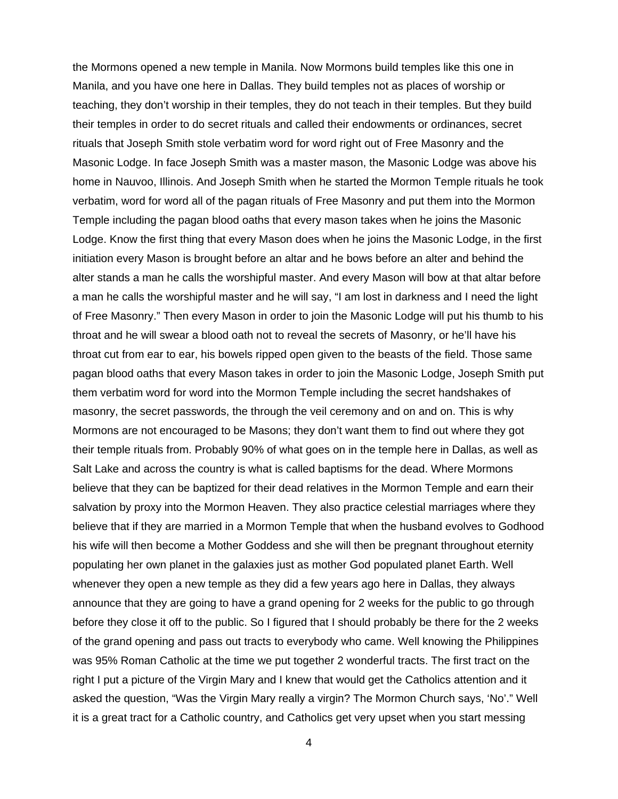the Mormons opened a new temple in Manila. Now Mormons build temples like this one in Manila, and you have one here in Dallas. They build temples not as places of worship or teaching, they don't worship in their temples, they do not teach in their temples. But they build their temples in order to do secret rituals and called their endowments or ordinances, secret rituals that Joseph Smith stole verbatim word for word right out of Free Masonry and the Masonic Lodge. In face Joseph Smith was a master mason, the Masonic Lodge was above his home in Nauvoo, Illinois. And Joseph Smith when he started the Mormon Temple rituals he took verbatim, word for word all of the pagan rituals of Free Masonry and put them into the Mormon Temple including the pagan blood oaths that every mason takes when he joins the Masonic Lodge. Know the first thing that every Mason does when he joins the Masonic Lodge, in the first initiation every Mason is brought before an altar and he bows before an alter and behind the alter stands a man he calls the worshipful master. And every Mason will bow at that altar before a man he calls the worshipful master and he will say, "I am lost in darkness and I need the light of Free Masonry." Then every Mason in order to join the Masonic Lodge will put his thumb to his throat and he will swear a blood oath not to reveal the secrets of Masonry, or he'll have his throat cut from ear to ear, his bowels ripped open given to the beasts of the field. Those same pagan blood oaths that every Mason takes in order to join the Masonic Lodge, Joseph Smith put them verbatim word for word into the Mormon Temple including the secret handshakes of masonry, the secret passwords, the through the veil ceremony and on and on. This is why Mormons are not encouraged to be Masons; they don't want them to find out where they got their temple rituals from. Probably 90% of what goes on in the temple here in Dallas, as well as Salt Lake and across the country is what is called baptisms for the dead. Where Mormons believe that they can be baptized for their dead relatives in the Mormon Temple and earn their salvation by proxy into the Mormon Heaven. They also practice celestial marriages where they believe that if they are married in a Mormon Temple that when the husband evolves to Godhood his wife will then become a Mother Goddess and she will then be pregnant throughout eternity populating her own planet in the galaxies just as mother God populated planet Earth. Well whenever they open a new temple as they did a few years ago here in Dallas, they always announce that they are going to have a grand opening for 2 weeks for the public to go through before they close it off to the public. So I figured that I should probably be there for the 2 weeks of the grand opening and pass out tracts to everybody who came. Well knowing the Philippines was 95% Roman Catholic at the time we put together 2 wonderful tracts. The first tract on the right I put a picture of the Virgin Mary and I knew that would get the Catholics attention and it asked the question, "Was the Virgin Mary really a virgin? The Mormon Church says, 'No'." Well it is a great tract for a Catholic country, and Catholics get very upset when you start messing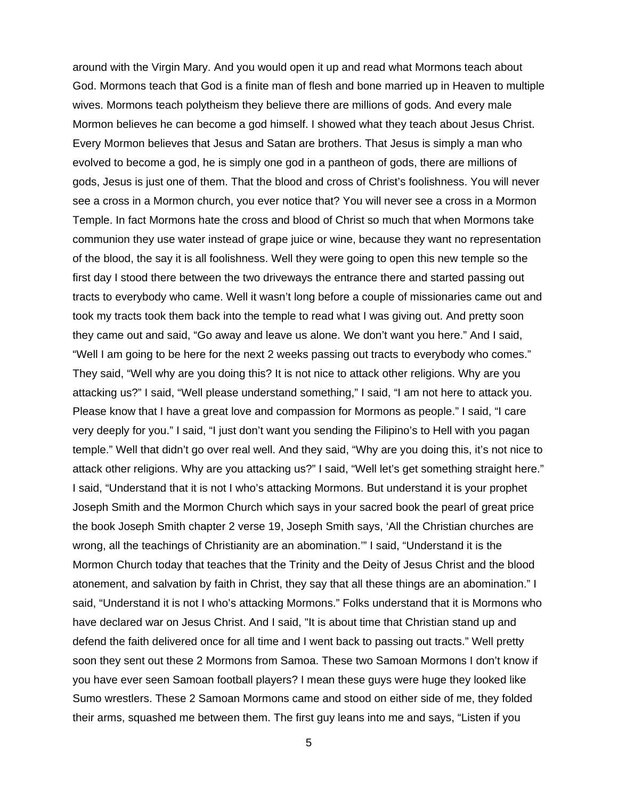around with the Virgin Mary. And you would open it up and read what Mormons teach about God. Mormons teach that God is a finite man of flesh and bone married up in Heaven to multiple wives. Mormons teach polytheism they believe there are millions of gods. And every male Mormon believes he can become a god himself. I showed what they teach about Jesus Christ. Every Mormon believes that Jesus and Satan are brothers. That Jesus is simply a man who evolved to become a god, he is simply one god in a pantheon of gods, there are millions of gods, Jesus is just one of them. That the blood and cross of Christ's foolishness. You will never see a cross in a Mormon church, you ever notice that? You will never see a cross in a Mormon Temple. In fact Mormons hate the cross and blood of Christ so much that when Mormons take communion they use water instead of grape juice or wine, because they want no representation of the blood, the say it is all foolishness. Well they were going to open this new temple so the first day I stood there between the two driveways the entrance there and started passing out tracts to everybody who came. Well it wasn't long before a couple of missionaries came out and took my tracts took them back into the temple to read what I was giving out. And pretty soon they came out and said, "Go away and leave us alone. We don't want you here." And I said, "Well I am going to be here for the next 2 weeks passing out tracts to everybody who comes." They said, "Well why are you doing this? It is not nice to attack other religions. Why are you attacking us?" I said, "Well please understand something," I said, "I am not here to attack you. Please know that I have a great love and compassion for Mormons as people." I said, "I care very deeply for you." I said, "I just don't want you sending the Filipino's to Hell with you pagan temple." Well that didn't go over real well. And they said, "Why are you doing this, it's not nice to attack other religions. Why are you attacking us?" I said, "Well let's get something straight here." I said, "Understand that it is not I who's attacking Mormons. But understand it is your prophet Joseph Smith and the Mormon Church which says in your sacred book the pearl of great price the book Joseph Smith chapter 2 verse 19, Joseph Smith says, 'All the Christian churches are wrong, all the teachings of Christianity are an abomination.'" I said, "Understand it is the Mormon Church today that teaches that the Trinity and the Deity of Jesus Christ and the blood atonement, and salvation by faith in Christ, they say that all these things are an abomination." I said, "Understand it is not I who's attacking Mormons." Folks understand that it is Mormons who have declared war on Jesus Christ. And I said, "It is about time that Christian stand up and defend the faith delivered once for all time and I went back to passing out tracts." Well pretty soon they sent out these 2 Mormons from Samoa. These two Samoan Mormons I don't know if you have ever seen Samoan football players? I mean these guys were huge they looked like Sumo wrestlers. These 2 Samoan Mormons came and stood on either side of me, they folded their arms, squashed me between them. The first guy leans into me and says, "Listen if you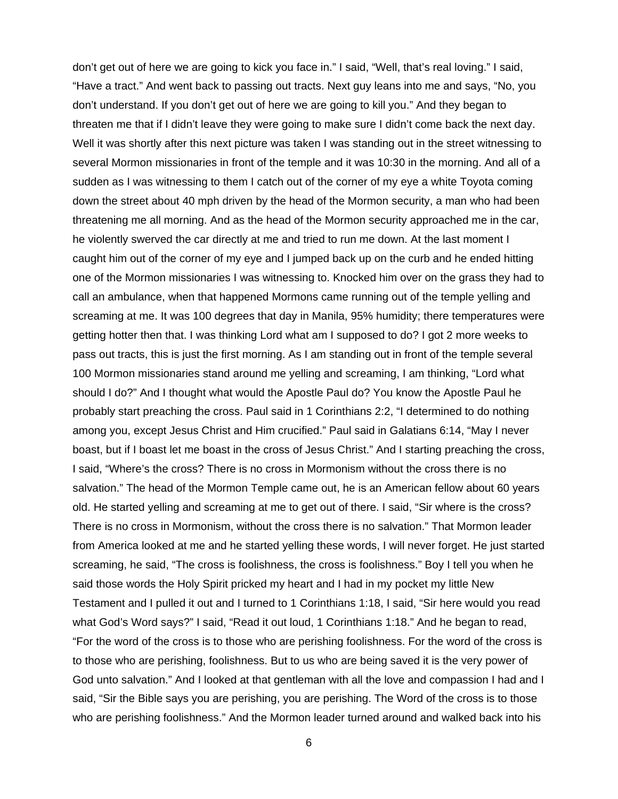don't get out of here we are going to kick you face in." I said, "Well, that's real loving." I said, "Have a tract." And went back to passing out tracts. Next guy leans into me and says, "No, you don't understand. If you don't get out of here we are going to kill you." And they began to threaten me that if I didn't leave they were going to make sure I didn't come back the next day. Well it was shortly after this next picture was taken I was standing out in the street witnessing to several Mormon missionaries in front of the temple and it was 10:30 in the morning. And all of a sudden as I was witnessing to them I catch out of the corner of my eye a white Toyota coming down the street about 40 mph driven by the head of the Mormon security, a man who had been threatening me all morning. And as the head of the Mormon security approached me in the car, he violently swerved the car directly at me and tried to run me down. At the last moment I caught him out of the corner of my eye and I jumped back up on the curb and he ended hitting one of the Mormon missionaries I was witnessing to. Knocked him over on the grass they had to call an ambulance, when that happened Mormons came running out of the temple yelling and screaming at me. It was 100 degrees that day in Manila, 95% humidity; there temperatures were getting hotter then that. I was thinking Lord what am I supposed to do? I got 2 more weeks to pass out tracts, this is just the first morning. As I am standing out in front of the temple several 100 Mormon missionaries stand around me yelling and screaming, I am thinking, "Lord what should I do?" And I thought what would the Apostle Paul do? You know the Apostle Paul he probably start preaching the cross. Paul said in 1 Corinthians 2:2, "I determined to do nothing among you, except Jesus Christ and Him crucified." Paul said in Galatians 6:14, "May I never boast, but if I boast let me boast in the cross of Jesus Christ." And I starting preaching the cross, I said, "Where's the cross? There is no cross in Mormonism without the cross there is no salvation." The head of the Mormon Temple came out, he is an American fellow about 60 years old. He started yelling and screaming at me to get out of there. I said, "Sir where is the cross? There is no cross in Mormonism, without the cross there is no salvation." That Mormon leader from America looked at me and he started yelling these words, I will never forget. He just started screaming, he said, "The cross is foolishness, the cross is foolishness." Boy I tell you when he said those words the Holy Spirit pricked my heart and I had in my pocket my little New Testament and I pulled it out and I turned to 1 Corinthians 1:18, I said, "Sir here would you read what God's Word says?" I said, "Read it out loud, 1 Corinthians 1:18." And he began to read, "For the word of the cross is to those who are perishing foolishness. For the word of the cross is to those who are perishing, foolishness. But to us who are being saved it is the very power of God unto salvation." And I looked at that gentleman with all the love and compassion I had and I said, "Sir the Bible says you are perishing, you are perishing. The Word of the cross is to those who are perishing foolishness." And the Mormon leader turned around and walked back into his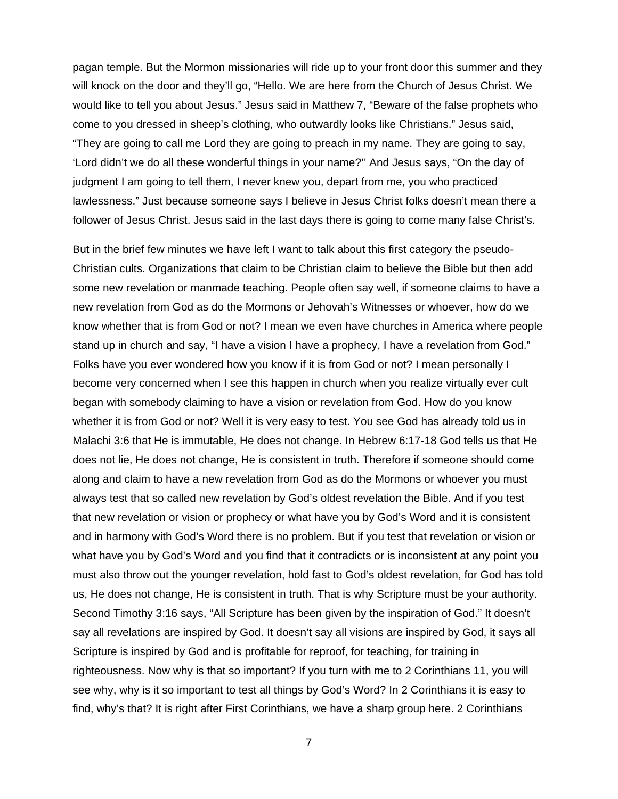pagan temple. But the Mormon missionaries will ride up to your front door this summer and they will knock on the door and they'll go, "Hello. We are here from the Church of Jesus Christ. We would like to tell you about Jesus." Jesus said in Matthew 7, "Beware of the false prophets who come to you dressed in sheep's clothing, who outwardly looks like Christians." Jesus said, "They are going to call me Lord they are going to preach in my name. They are going to say, 'Lord didn't we do all these wonderful things in your name?'' And Jesus says, "On the day of judgment I am going to tell them, I never knew you, depart from me, you who practiced lawlessness." Just because someone says I believe in Jesus Christ folks doesn't mean there a follower of Jesus Christ. Jesus said in the last days there is going to come many false Christ's.

But in the brief few minutes we have left I want to talk about this first category the pseudo-Christian cults. Organizations that claim to be Christian claim to believe the Bible but then add some new revelation or manmade teaching. People often say well, if someone claims to have a new revelation from God as do the Mormons or Jehovah's Witnesses or whoever, how do we know whether that is from God or not? I mean we even have churches in America where people stand up in church and say, "I have a vision I have a prophecy, I have a revelation from God." Folks have you ever wondered how you know if it is from God or not? I mean personally I become very concerned when I see this happen in church when you realize virtually ever cult began with somebody claiming to have a vision or revelation from God. How do you know whether it is from God or not? Well it is very easy to test. You see God has already told us in Malachi 3:6 that He is immutable, He does not change. In Hebrew 6:17-18 God tells us that He does not lie, He does not change, He is consistent in truth. Therefore if someone should come along and claim to have a new revelation from God as do the Mormons or whoever you must always test that so called new revelation by God's oldest revelation the Bible. And if you test that new revelation or vision or prophecy or what have you by God's Word and it is consistent and in harmony with God's Word there is no problem. But if you test that revelation or vision or what have you by God's Word and you find that it contradicts or is inconsistent at any point you must also throw out the younger revelation, hold fast to God's oldest revelation, for God has told us, He does not change, He is consistent in truth. That is why Scripture must be your authority. Second Timothy 3:16 says, "All Scripture has been given by the inspiration of God." It doesn't say all revelations are inspired by God. It doesn't say all visions are inspired by God, it says all Scripture is inspired by God and is profitable for reproof, for teaching, for training in righteousness. Now why is that so important? If you turn with me to 2 Corinthians 11, you will see why, why is it so important to test all things by God's Word? In 2 Corinthians it is easy to find, why's that? It is right after First Corinthians, we have a sharp group here. 2 Corinthians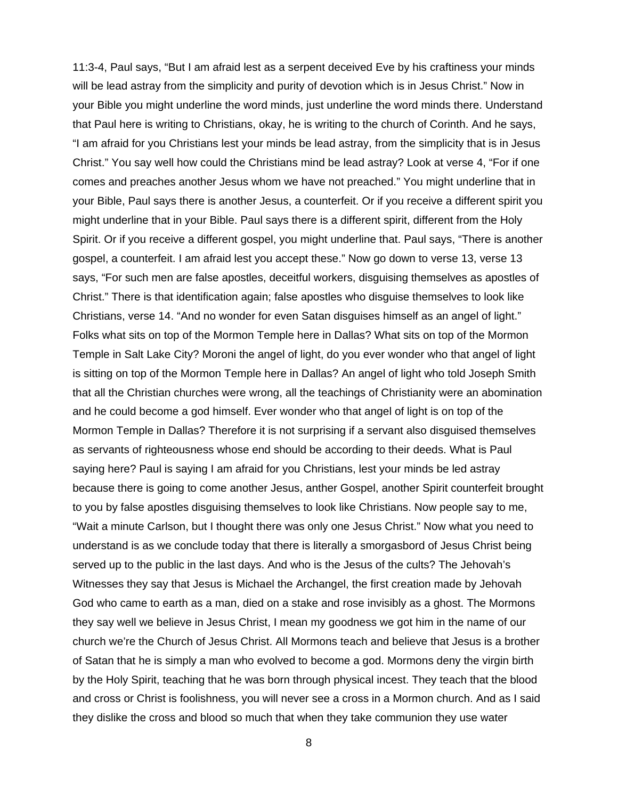11:3-4, Paul says, "But I am afraid lest as a serpent deceived Eve by his craftiness your minds will be lead astray from the simplicity and purity of devotion which is in Jesus Christ." Now in your Bible you might underline the word minds, just underline the word minds there. Understand that Paul here is writing to Christians, okay, he is writing to the church of Corinth. And he says, "I am afraid for you Christians lest your minds be lead astray, from the simplicity that is in Jesus Christ." You say well how could the Christians mind be lead astray? Look at verse 4, "For if one comes and preaches another Jesus whom we have not preached." You might underline that in your Bible, Paul says there is another Jesus, a counterfeit. Or if you receive a different spirit you might underline that in your Bible. Paul says there is a different spirit, different from the Holy Spirit. Or if you receive a different gospel, you might underline that. Paul says, "There is another gospel, a counterfeit. I am afraid lest you accept these." Now go down to verse 13, verse 13 says, "For such men are false apostles, deceitful workers, disguising themselves as apostles of Christ." There is that identification again; false apostles who disguise themselves to look like Christians, verse 14. "And no wonder for even Satan disguises himself as an angel of light." Folks what sits on top of the Mormon Temple here in Dallas? What sits on top of the Mormon Temple in Salt Lake City? Moroni the angel of light, do you ever wonder who that angel of light is sitting on top of the Mormon Temple here in Dallas? An angel of light who told Joseph Smith that all the Christian churches were wrong, all the teachings of Christianity were an abomination and he could become a god himself. Ever wonder who that angel of light is on top of the Mormon Temple in Dallas? Therefore it is not surprising if a servant also disguised themselves as servants of righteousness whose end should be according to their deeds. What is Paul saying here? Paul is saying I am afraid for you Christians, lest your minds be led astray because there is going to come another Jesus, anther Gospel, another Spirit counterfeit brought to you by false apostles disguising themselves to look like Christians. Now people say to me, "Wait a minute Carlson, but I thought there was only one Jesus Christ." Now what you need to understand is as we conclude today that there is literally a smorgasbord of Jesus Christ being served up to the public in the last days. And who is the Jesus of the cults? The Jehovah's Witnesses they say that Jesus is Michael the Archangel, the first creation made by Jehovah God who came to earth as a man, died on a stake and rose invisibly as a ghost. The Mormons they say well we believe in Jesus Christ, I mean my goodness we got him in the name of our church we're the Church of Jesus Christ. All Mormons teach and believe that Jesus is a brother of Satan that he is simply a man who evolved to become a god. Mormons deny the virgin birth by the Holy Spirit, teaching that he was born through physical incest. They teach that the blood and cross or Christ is foolishness, you will never see a cross in a Mormon church. And as I said they dislike the cross and blood so much that when they take communion they use water